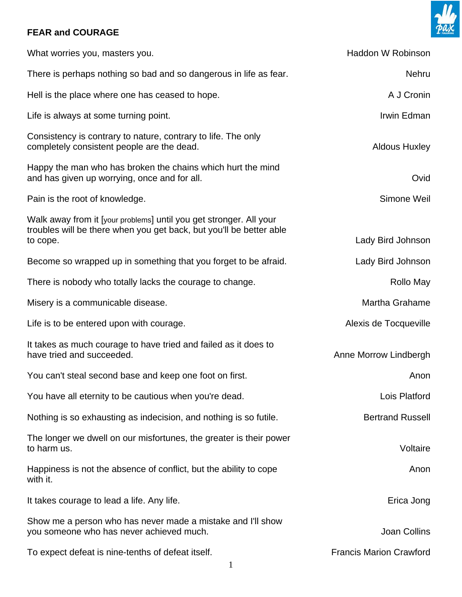## **FEAR and COURAGE**



| What worries you, masters you.                                                                                                                        | Haddon W Robinson              |
|-------------------------------------------------------------------------------------------------------------------------------------------------------|--------------------------------|
| There is perhaps nothing so bad and so dangerous in life as fear.                                                                                     | <b>Nehru</b>                   |
| Hell is the place where one has ceased to hope.                                                                                                       | A J Cronin                     |
| Life is always at some turning point.                                                                                                                 | Irwin Edman                    |
| Consistency is contrary to nature, contrary to life. The only<br>completely consistent people are the dead.                                           | <b>Aldous Huxley</b>           |
| Happy the man who has broken the chains which hurt the mind<br>and has given up worrying, once and for all.                                           | Ovid                           |
| Pain is the root of knowledge.                                                                                                                        | Simone Weil                    |
| Walk away from it [your problems] until you get stronger. All your<br>troubles will be there when you get back, but you'll be better able<br>to cope. | Lady Bird Johnson              |
| Become so wrapped up in something that you forget to be afraid.                                                                                       | Lady Bird Johnson              |
| There is nobody who totally lacks the courage to change.                                                                                              | Rollo May                      |
| Misery is a communicable disease.                                                                                                                     | <b>Martha Grahame</b>          |
| Life is to be entered upon with courage.                                                                                                              | Alexis de Tocqueville          |
| It takes as much courage to have tried and failed as it does to<br>have tried and succeeded.                                                          | Anne Morrow Lindbergh          |
| You can't steal second base and keep one foot on first.                                                                                               | Anon                           |
| You have all eternity to be cautious when you're dead.                                                                                                | Lois Platford                  |
| Nothing is so exhausting as indecision, and nothing is so futile.                                                                                     | <b>Bertrand Russell</b>        |
| The longer we dwell on our misfortunes, the greater is their power<br>to harm us.                                                                     | Voltaire                       |
| Happiness is not the absence of conflict, but the ability to cope<br>with it.                                                                         | Anon                           |
| It takes courage to lead a life. Any life.                                                                                                            | Erica Jong                     |
| Show me a person who has never made a mistake and I'll show<br>you someone who has never achieved much.                                               | Joan Collins                   |
| To expect defeat is nine-tenths of defeat itself.                                                                                                     | <b>Francis Marion Crawford</b> |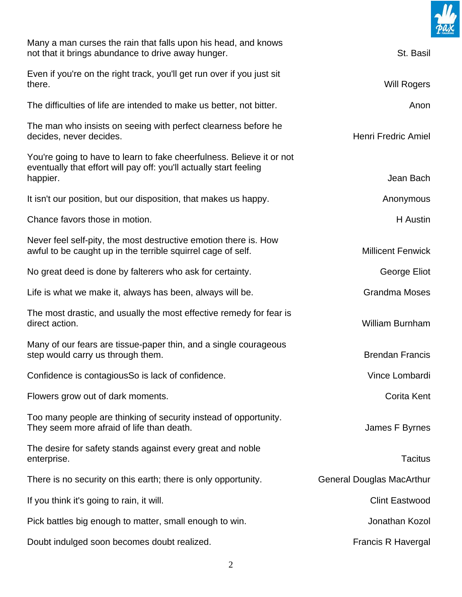

| Many a man curses the rain that falls upon his head, and knows<br>not that it brings abundance to drive away hunger.                                    | St. Basil                        |
|---------------------------------------------------------------------------------------------------------------------------------------------------------|----------------------------------|
| Even if you're on the right track, you'll get run over if you just sit<br>there.                                                                        | <b>Will Rogers</b>               |
| The difficulties of life are intended to make us better, not bitter.                                                                                    | Anon                             |
| The man who insists on seeing with perfect clearness before he<br>decides, never decides.                                                               | <b>Henri Fredric Amiel</b>       |
| You're going to have to learn to fake cheerfulness. Believe it or not<br>eventually that effort will pay off: you'll actually start feeling<br>happier. | Jean Bach                        |
| It isn't our position, but our disposition, that makes us happy.                                                                                        | Anonymous                        |
| Chance favors those in motion.                                                                                                                          | H Austin                         |
| Never feel self-pity, the most destructive emotion there is. How<br>awful to be caught up in the terrible squirrel cage of self.                        | <b>Millicent Fenwick</b>         |
| No great deed is done by falterers who ask for certainty.                                                                                               | George Eliot                     |
| Life is what we make it, always has been, always will be.                                                                                               | <b>Grandma Moses</b>             |
| The most drastic, and usually the most effective remedy for fear is<br>direct action.                                                                   | <b>William Burnham</b>           |
| Many of our fears are tissue-paper thin, and a single courageous<br>step would carry us through them.                                                   | <b>Brendan Francis</b>           |
| Confidence is contagious So is lack of confidence.                                                                                                      | Vince Lombardi                   |
| Flowers grow out of dark moments.                                                                                                                       | Corita Kent                      |
| Too many people are thinking of security instead of opportunity.<br>They seem more afraid of life than death.                                           | James F Byrnes                   |
| The desire for safety stands against every great and noble<br>enterprise.                                                                               | <b>Tacitus</b>                   |
| There is no security on this earth; there is only opportunity.                                                                                          | <b>General Douglas MacArthur</b> |
| If you think it's going to rain, it will.                                                                                                               | <b>Clint Eastwood</b>            |
| Pick battles big enough to matter, small enough to win.                                                                                                 | Jonathan Kozol                   |
| Doubt indulged soon becomes doubt realized.                                                                                                             | Francis R Havergal               |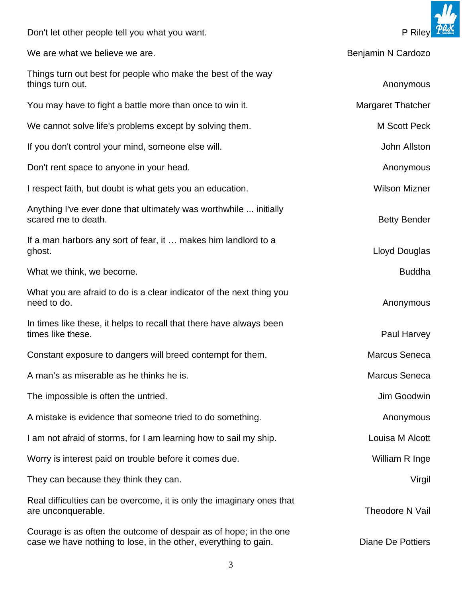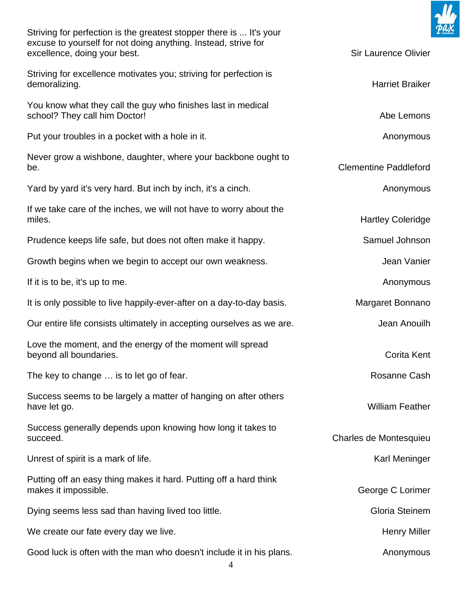| Striving for perfection is the greatest stopper there is  It's your                            |                              |
|------------------------------------------------------------------------------------------------|------------------------------|
| excuse to yourself for not doing anything. Instead, strive for<br>excellence, doing your best. | <b>Sir Laurence Olivier</b>  |
| Striving for excellence motivates you; striving for perfection is<br>demoralizing.             | <b>Harriet Braiker</b>       |
| You know what they call the guy who finishes last in medical<br>school? They call him Doctor!  | Abe Lemons                   |
| Put your troubles in a pocket with a hole in it.                                               | Anonymous                    |
| Never grow a wishbone, daughter, where your backbone ought to<br>be.                           | <b>Clementine Paddleford</b> |
| Yard by yard it's very hard. But inch by inch, it's a cinch.                                   | Anonymous                    |
| If we take care of the inches, we will not have to worry about the<br>miles.                   | <b>Hartley Coleridge</b>     |
| Prudence keeps life safe, but does not often make it happy.                                    | Samuel Johnson               |
| Growth begins when we begin to accept our own weakness.                                        | Jean Vanier                  |
| If it is to be, it's up to me.                                                                 | Anonymous                    |
| It is only possible to live happily-ever-after on a day-to-day basis.                          | Margaret Bonnano             |
| Our entire life consists ultimately in accepting ourselves as we are.                          | Jean Anouilh                 |
| Love the moment, and the energy of the moment will spread<br>beyond all boundaries.            | Corita Kent                  |
| The key to change  is to let go of fear.                                                       | Rosanne Cash                 |
| Success seems to be largely a matter of hanging on after others<br>have let go.                | <b>William Feather</b>       |
| Success generally depends upon knowing how long it takes to<br>succeed.                        | Charles de Montesquieu       |
| Unrest of spirit is a mark of life.                                                            | Karl Meninger                |
| Putting off an easy thing makes it hard. Putting off a hard think<br>makes it impossible.      | George C Lorimer             |
| Dying seems less sad than having lived too little.                                             | Gloria Steinem               |
| We create our fate every day we live.                                                          | <b>Henry Miller</b>          |
| Good luck is often with the man who doesn't include it in his plans.<br>4                      | Anonymous                    |

<u>II.,</u> pax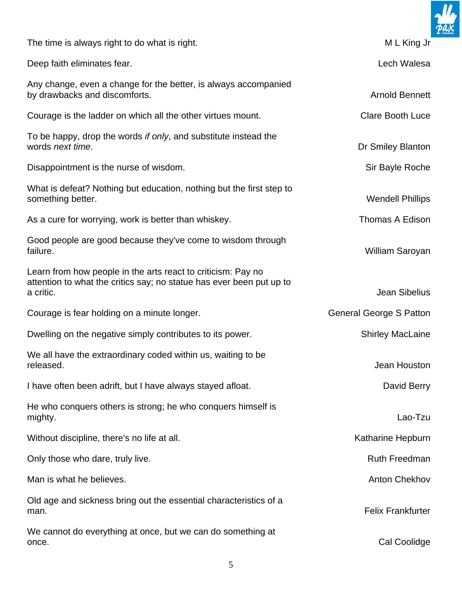

| The time is always right to do what is right.                                                                                                     | M L King Jr              |
|---------------------------------------------------------------------------------------------------------------------------------------------------|--------------------------|
| Deep faith eliminates fear.                                                                                                                       | Lech Walesa              |
| Any change, even a change for the better, is always accompanied<br>by drawbacks and discomforts.                                                  | <b>Arnold Bennett</b>    |
| Courage is the ladder on which all the other virtues mount.                                                                                       | <b>Clare Booth Luce</b>  |
| To be happy, drop the words if only, and substitute instead the<br>words next time.                                                               | Dr Smiley Blanton        |
| Disappointment is the nurse of wisdom.                                                                                                            | Sir Bayle Roche          |
| What is defeat? Nothing but education, nothing but the first step to<br>something better.                                                         | <b>Wendell Phillips</b>  |
| As a cure for worrying, work is better than whiskey.                                                                                              | <b>Thomas A Edison</b>   |
| Good people are good because they've come to wisdom through<br>failure.                                                                           | William Saroyan          |
| Learn from how people in the arts react to criticism: Pay no<br>attention to what the critics say; no statue has ever been put up to<br>a critic. | <b>Jean Sibelius</b>     |
| Courage is fear holding on a minute longer.                                                                                                       | General George S Patton  |
| Dwelling on the negative simply contributes to its power.                                                                                         | <b>Shirley MacLaine</b>  |
| We all have the extraordinary coded within us, waiting to be<br>released.                                                                         | Jean Houston             |
| I have often been adrift, but I have always stayed afloat.                                                                                        | David Berry              |
| He who conquers others is strong; he who conquers himself is<br>mighty.                                                                           | Lao-Tzu                  |
| Without discipline, there's no life at all.                                                                                                       | Katharine Hepburn        |
| Only those who dare, truly live.                                                                                                                  | <b>Ruth Freedman</b>     |
| Man is what he believes.                                                                                                                          | <b>Anton Chekhov</b>     |
| Old age and sickness bring out the essential characteristics of a<br>man.                                                                         | <b>Felix Frankfurter</b> |
| We cannot do everything at once, but we can do something at<br>once.                                                                              | Cal Coolidge             |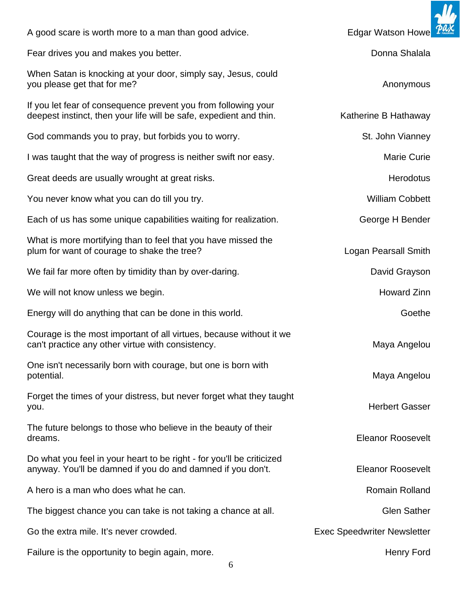| A good scare is worth more to a man than good advice.                                                                                | Edgar Watson Howe                  |
|--------------------------------------------------------------------------------------------------------------------------------------|------------------------------------|
| Fear drives you and makes you better.                                                                                                | Donna Shalala                      |
| When Satan is knocking at your door, simply say, Jesus, could<br>you please get that for me?                                         | Anonymous                          |
| If you let fear of consequence prevent you from following your<br>deepest instinct, then your life will be safe, expedient and thin. | Katherine B Hathaway               |
| God commands you to pray, but forbids you to worry.                                                                                  | St. John Vianney                   |
| I was taught that the way of progress is neither swift nor easy.                                                                     | <b>Marie Curie</b>                 |
| Great deeds are usually wrought at great risks.                                                                                      | <b>Herodotus</b>                   |
| You never know what you can do till you try.                                                                                         | <b>William Cobbett</b>             |
| Each of us has some unique capabilities waiting for realization.                                                                     | George H Bender                    |
| What is more mortifying than to feel that you have missed the<br>plum for want of courage to shake the tree?                         | <b>Logan Pearsall Smith</b>        |
| We fail far more often by timidity than by over-daring.                                                                              | David Grayson                      |
| We will not know unless we begin.                                                                                                    | <b>Howard Zinn</b>                 |
| Energy will do anything that can be done in this world.                                                                              | Goethe                             |
| Courage is the most important of all virtues, because without it we<br>can't practice any other virtue with consistency.             | Maya Angelou                       |
| One isn't necessarily born with courage, but one is born with<br>potential.                                                          | Maya Angelou                       |
| Forget the times of your distress, but never forget what they taught<br>you.                                                         | <b>Herbert Gasser</b>              |
| The future belongs to those who believe in the beauty of their<br>dreams.                                                            | <b>Eleanor Roosevelt</b>           |
| Do what you feel in your heart to be right - for you'll be criticized<br>anyway. You'll be damned if you do and damned if you don't. | <b>Eleanor Roosevelt</b>           |
| A hero is a man who does what he can.                                                                                                | <b>Romain Rolland</b>              |
| The biggest chance you can take is not taking a chance at all.                                                                       | <b>Glen Sather</b>                 |
| Go the extra mile. It's never crowded.                                                                                               | <b>Exec Speedwriter Newsletter</b> |
| Failure is the opportunity to begin again, more.                                                                                     | <b>Henry Ford</b>                  |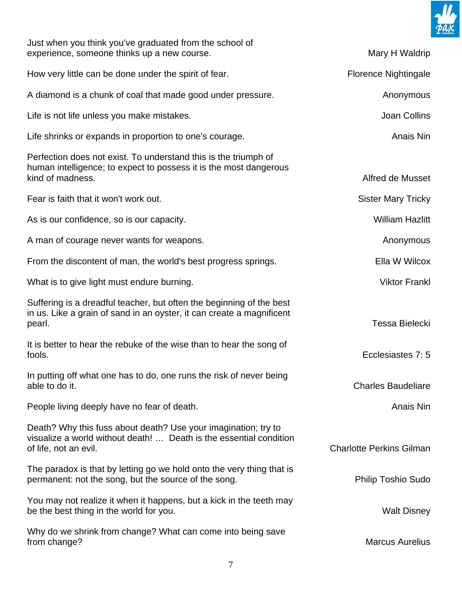

| Just when you think you've graduated from the school of<br>experience, someone thinks up a new course.                                                        | Mary H Waldrip                  |
|---------------------------------------------------------------------------------------------------------------------------------------------------------------|---------------------------------|
| How very little can be done under the spirit of fear.                                                                                                         | <b>Florence Nightingale</b>     |
| A diamond is a chunk of coal that made good under pressure.                                                                                                   | Anonymous                       |
| Life is not life unless you make mistakes.                                                                                                                    | Joan Collins                    |
| Life shrinks or expands in proportion to one's courage.                                                                                                       | Anais Nin                       |
| Perfection does not exist. To understand this is the triumph of<br>human intelligence; to expect to possess it is the most dangerous<br>kind of madness.      | Alfred de Musset                |
| Fear is faith that it won't work out.                                                                                                                         | <b>Sister Mary Tricky</b>       |
| As is our confidence, so is our capacity.                                                                                                                     | <b>William Hazlitt</b>          |
| A man of courage never wants for weapons.                                                                                                                     | Anonymous                       |
| From the discontent of man, the world's best progress springs.                                                                                                | Ella W Wilcox                   |
| What is to give light must endure burning.                                                                                                                    | <b>Viktor Frankl</b>            |
| Suffering is a dreadful teacher, but often the beginning of the best<br>in us. Like a grain of sand in an oyster, it can create a magnificent<br>pearl.       | Tessa Bielecki                  |
| It is better to hear the rebuke of the wise than to hear the song of<br>fools.                                                                                | Ecclesiastes 7:5                |
| In putting off what one has to do, one runs the risk of never being<br>able to do it.                                                                         | <b>Charles Baudeliare</b>       |
| People living deeply have no fear of death.                                                                                                                   | Anais Nin                       |
| Death? Why this fuss about death? Use your imagination; try to<br>visualize a world without death!  Death is the essential condition<br>of life, not an evil. | <b>Charlotte Perkins Gilman</b> |
| The paradox is that by letting go we hold onto the very thing that is<br>permanent: not the song, but the source of the song.                                 | <b>Philip Toshio Sudo</b>       |
| You may not realize it when it happens, but a kick in the teeth may<br>be the best thing in the world for you.                                                | <b>Walt Disney</b>              |
| Why do we shrink from change? What can come into being save<br>from change?                                                                                   | <b>Marcus Aurelius</b>          |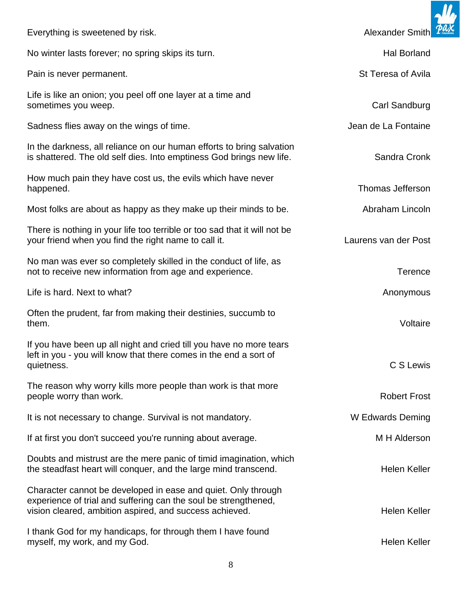

| No winter lasts forever; no spring skips its turn.                                                                                                                                          | <b>Hal Borland</b>      |
|---------------------------------------------------------------------------------------------------------------------------------------------------------------------------------------------|-------------------------|
| Pain is never permanent.                                                                                                                                                                    | St Teresa of Avila      |
| Life is like an onion; you peel off one layer at a time and<br>sometimes you weep.                                                                                                          | Carl Sandburg           |
| Sadness flies away on the wings of time.                                                                                                                                                    | Jean de La Fontaine     |
| In the darkness, all reliance on our human efforts to bring salvation<br>is shattered. The old self dies. Into emptiness God brings new life.                                               | Sandra Cronk            |
| How much pain they have cost us, the evils which have never<br>happened.                                                                                                                    | <b>Thomas Jefferson</b> |
| Most folks are about as happy as they make up their minds to be.                                                                                                                            | Abraham Lincoln         |
| There is nothing in your life too terrible or too sad that it will not be<br>your friend when you find the right name to call it.                                                           | Laurens van der Post    |
| No man was ever so completely skilled in the conduct of life, as<br>not to receive new information from age and experience.                                                                 | <b>Terence</b>          |
| Life is hard. Next to what?                                                                                                                                                                 | Anonymous               |
| Often the prudent, far from making their destinies, succumb to<br>them.                                                                                                                     | Voltaire                |
| If you have been up all night and cried till you have no more tears<br>left in you - you will know that there comes in the end a sort of<br>quietness.                                      | C S Lewis               |
| The reason why worry kills more people than work is that more<br>people worry than work.                                                                                                    | <b>Robert Frost</b>     |
| It is not necessary to change. Survival is not mandatory.                                                                                                                                   | W Edwards Deming        |
| If at first you don't succeed you're running about average.                                                                                                                                 | M H Alderson            |
| Doubts and mistrust are the mere panic of timid imagination, which<br>the steadfast heart will conquer, and the large mind transcend.                                                       | <b>Helen Keller</b>     |
| Character cannot be developed in ease and quiet. Only through<br>experience of trial and suffering can the soul be strengthened,<br>vision cleared, ambition aspired, and success achieved. | <b>Helen Keller</b>     |
| I thank God for my handicaps, for through them I have found<br>myself, my work, and my God.                                                                                                 | <b>Helen Keller</b>     |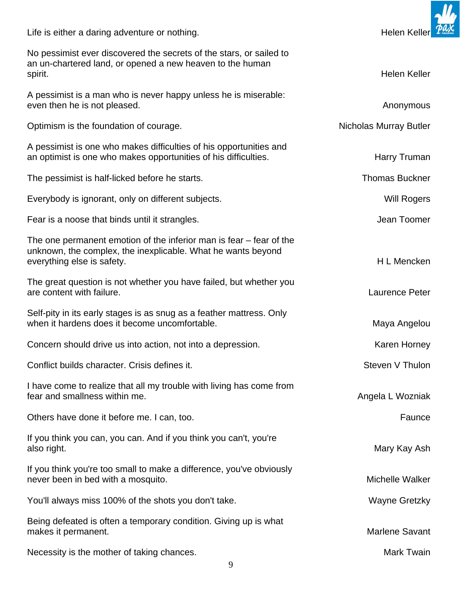Life is either a daring adventure or nothing.<br>
Helen Keller



| No pessimist ever discovered the secrets of the stars, or sailed to<br>an un-chartered land, or opened a new heaven to the human<br>spirit.                         | <b>Helen Keller</b>           |
|---------------------------------------------------------------------------------------------------------------------------------------------------------------------|-------------------------------|
| A pessimist is a man who is never happy unless he is miserable:<br>even then he is not pleased.                                                                     | Anonymous                     |
| Optimism is the foundation of courage.                                                                                                                              | <b>Nicholas Murray Butler</b> |
| A pessimist is one who makes difficulties of his opportunities and<br>an optimist is one who makes opportunities of his difficulties.                               | Harry Truman                  |
| The pessimist is half-licked before he starts.                                                                                                                      | <b>Thomas Buckner</b>         |
| Everybody is ignorant, only on different subjects.                                                                                                                  | <b>Will Rogers</b>            |
| Fear is a noose that binds until it strangles.                                                                                                                      | Jean Toomer                   |
| The one permanent emotion of the inferior man is fear $-$ fear of the<br>unknown, the complex, the inexplicable. What he wants beyond<br>everything else is safety. | H L Mencken                   |
| The great question is not whether you have failed, but whether you<br>are content with failure.                                                                     | Laurence Peter                |
| Self-pity in its early stages is as snug as a feather mattress. Only<br>when it hardens does it become uncomfortable.                                               | Maya Angelou                  |
| Concern should drive us into action, not into a depression.                                                                                                         | Karen Horney                  |
| Conflict builds character. Crisis defines it.                                                                                                                       | Steven V Thulon               |
| I have come to realize that all my trouble with living has come from<br>fear and smallness within me.                                                               | Angela L Wozniak              |
| Others have done it before me. I can, too.                                                                                                                          | Faunce                        |
| If you think you can, you can. And if you think you can't, you're<br>also right.                                                                                    | Mary Kay Ash                  |
| If you think you're too small to make a difference, you've obviously<br>never been in bed with a mosquito.                                                          | Michelle Walker               |
| You'll always miss 100% of the shots you don't take.                                                                                                                | <b>Wayne Gretzky</b>          |
| Being defeated is often a temporary condition. Giving up is what<br>makes it permanent.                                                                             | <b>Marlene Savant</b>         |
| Necessity is the mother of taking chances.                                                                                                                          | Mark Twain                    |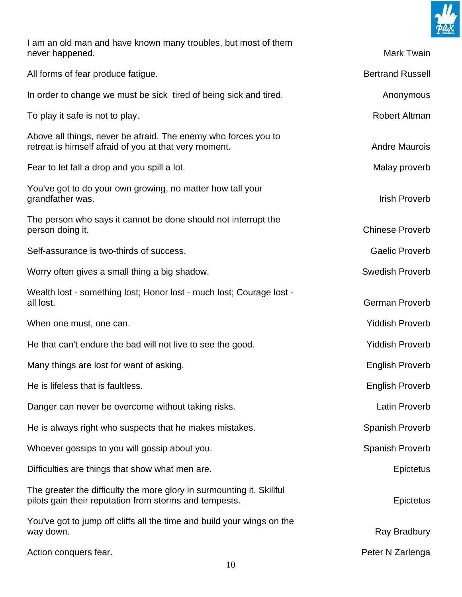

| I am an old man and have known many troubles, but most of them                                                                  |                         |
|---------------------------------------------------------------------------------------------------------------------------------|-------------------------|
| never happened.                                                                                                                 | Mark Twain              |
| All forms of fear produce fatigue.                                                                                              | <b>Bertrand Russell</b> |
| In order to change we must be sick tired of being sick and tired.                                                               | Anonymous               |
| To play it safe is not to play.                                                                                                 | <b>Robert Altman</b>    |
| Above all things, never be afraid. The enemy who forces you to<br>retreat is himself afraid of you at that very moment.         | <b>Andre Maurois</b>    |
| Fear to let fall a drop and you spill a lot.                                                                                    | Malay proverb           |
| You've got to do your own growing, no matter how tall your<br>grandfather was.                                                  | <b>Irish Proverb</b>    |
| The person who says it cannot be done should not interrupt the<br>person doing it.                                              | <b>Chinese Proverb</b>  |
| Self-assurance is two-thirds of success.                                                                                        | <b>Gaelic Proverb</b>   |
| Worry often gives a small thing a big shadow.                                                                                   | <b>Swedish Proverb</b>  |
| Wealth lost - something lost; Honor lost - much lost; Courage lost -<br>all lost.                                               | German Proverb          |
| When one must, one can.                                                                                                         | <b>Yiddish Proverb</b>  |
| He that can't endure the bad will not live to see the good.                                                                     | <b>Yiddish Proverb</b>  |
| Many things are lost for want of asking.                                                                                        | <b>English Proverb</b>  |
| He is lifeless that is faultless.                                                                                               | <b>English Proverb</b>  |
| Danger can never be overcome without taking risks.                                                                              | Latin Proverb           |
| He is always right who suspects that he makes mistakes.                                                                         | <b>Spanish Proverb</b>  |
| Whoever gossips to you will gossip about you.                                                                                   | <b>Spanish Proverb</b>  |
| Difficulties are things that show what men are.                                                                                 | Epictetus               |
| The greater the difficulty the more glory in surmounting it. Skillful<br>pilots gain their reputation from storms and tempests. | <b>Epictetus</b>        |
| You've got to jump off cliffs all the time and build your wings on the<br>way down.                                             | Ray Bradbury            |
| Action conquers fear.                                                                                                           | Peter N Zarlenga        |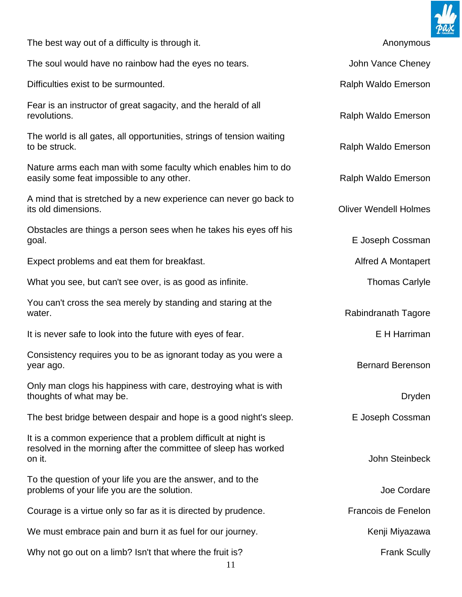

The best way out of a difficulty is through it. Anonymous control of the state of the Anonymous

The soul would have no rainbow had the eyes no tears. The soul would have cheney

Difficulties exist to be surmounted. Difficulties exist to be surmounted.

Fear is an instructor of great sagacity, and the herald of all revolutions. Ralph Waldo Emerson

The world is all gates, all opportunities, strings of tension waiting to be struck. The struck of the struck of the struck of the struck of the struck of the struck of the struck of the struck of the struck of the struck of the struck of the struck of the struck of the struck of the struck o

Nature arms each man with some faculty which enables him to do easily some feat impossible to any other. The same state of the Ralph Waldo Emerson

A mind that is stretched by a new experience can never go back to its old dimensions. Oliver Wendell Holmes

Obstacles are things a person sees when he takes his eyes off his goal. E Joseph Cossman

Expect problems and eat them for breakfast. Alfred A Montapert Alfred A Montapert

What you see, but can't see over, is as good as infinite. Thomas Carlyle Thomas Carlyle

You can't cross the sea merely by standing and staring at the water. **Rabindranath Tagore Rabindranath Tagore Rabindranath Tagore** 

It is never safe to look into the future with eyes of fear. The E H Harriman E H Harriman

Consistency requires you to be as ignorant today as you were a year ago. Bernard Berenson

Only man clogs his happiness with care, destroying what is with thoughts of what may be. The contract of the contract of the contract of the contract of the contract of the contract of the contract of the contract of the contract of the contract of the contract of the contract of the c

The best bridge between despair and hope is a good night's sleep. E Joseph Cossman

It is a common experience that a problem difficult at night is resolved in the morning after the committee of sleep has worked on it. John Steinbeck

To the question of your life you are the answer, and to the problems of your life you are the solution.

Courage is a virtue only so far as it is directed by prudence. Francois de Fenelon

We must embrace pain and burn it as fuel for our journey. The mass of the Kenji Miyazawa

Why not go out on a limb? Isn't that where the fruit is? Frank Scully Frank Scully

11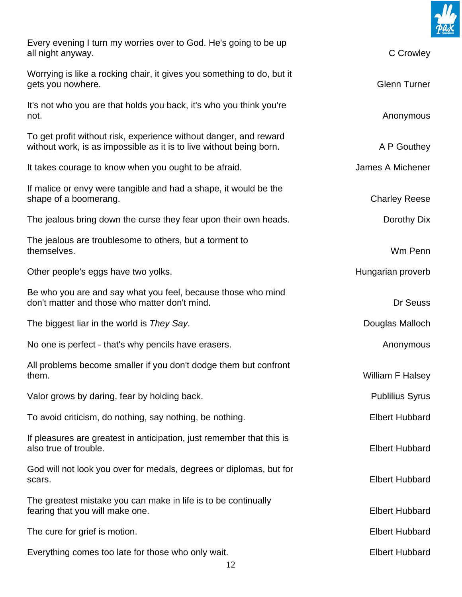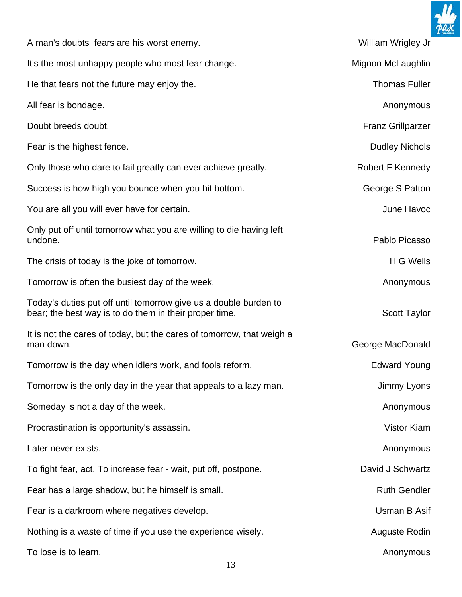![](_page_12_Picture_0.jpeg)

| A man's doubts fears are his worst enemy.                                                                                  | William Wrigley Jr       |
|----------------------------------------------------------------------------------------------------------------------------|--------------------------|
| It's the most unhappy people who most fear change.                                                                         | Mignon McLaughlin        |
| He that fears not the future may enjoy the.                                                                                | <b>Thomas Fuller</b>     |
| All fear is bondage.                                                                                                       | Anonymous                |
| Doubt breeds doubt.                                                                                                        | <b>Franz Grillparzer</b> |
| Fear is the highest fence.                                                                                                 | <b>Dudley Nichols</b>    |
| Only those who dare to fail greatly can ever achieve greatly.                                                              | Robert F Kennedy         |
| Success is how high you bounce when you hit bottom.                                                                        | George S Patton          |
| You are all you will ever have for certain.                                                                                | June Havoc               |
| Only put off until tomorrow what you are willing to die having left<br>undone.                                             | Pablo Picasso            |
| The crisis of today is the joke of tomorrow.                                                                               | H G Wells                |
| Tomorrow is often the busiest day of the week.                                                                             | Anonymous                |
| Today's duties put off until tomorrow give us a double burden to<br>bear; the best way is to do them in their proper time. | Scott Taylor             |
| It is not the cares of today, but the cares of tomorrow, that weigh a<br>man down.                                         | George MacDonald         |
| Tomorrow is the day when idlers work, and fools reform.                                                                    | <b>Edward Young</b>      |
| Tomorrow is the only day in the year that appeals to a lazy man.                                                           | Jimmy Lyons              |
| Someday is not a day of the week.                                                                                          | Anonymous                |
| Procrastination is opportunity's assassin.                                                                                 | <b>Vistor Kiam</b>       |
| Later never exists.                                                                                                        | Anonymous                |
| To fight fear, act. To increase fear - wait, put off, postpone.                                                            | David J Schwartz         |
| Fear has a large shadow, but he himself is small.                                                                          | <b>Ruth Gendler</b>      |
| Fear is a darkroom where negatives develop.                                                                                | Usman B Asif             |
| Nothing is a waste of time if you use the experience wisely.                                                               | Auguste Rodin            |
| To lose is to learn.<br>13                                                                                                 | Anonymous                |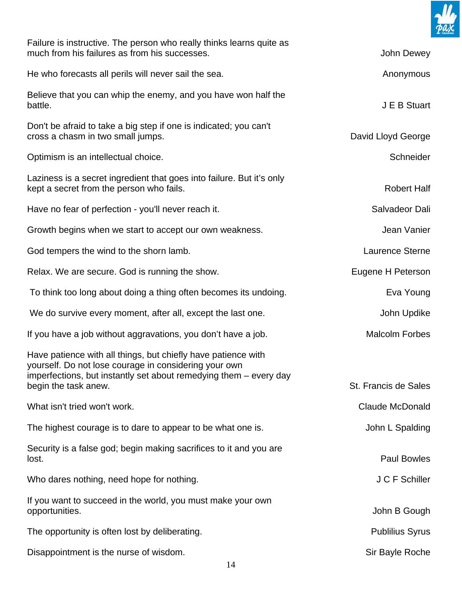![](_page_13_Picture_0.jpeg)

| Failure is instructive. The person who really thinks learns quite as<br>much from his failures as from his successes.                                                                                               | John Dewey             |
|---------------------------------------------------------------------------------------------------------------------------------------------------------------------------------------------------------------------|------------------------|
| He who forecasts all perils will never sail the sea.                                                                                                                                                                | Anonymous              |
| Believe that you can whip the enemy, and you have won half the<br>battle.                                                                                                                                           | J E B Stuart           |
| Don't be afraid to take a big step if one is indicated; you can't<br>cross a chasm in two small jumps.                                                                                                              | David Lloyd George     |
| Optimism is an intellectual choice.                                                                                                                                                                                 | Schneider              |
| Laziness is a secret ingredient that goes into failure. But it's only<br>kept a secret from the person who fails.                                                                                                   | <b>Robert Half</b>     |
| Have no fear of perfection - you'll never reach it.                                                                                                                                                                 | Salvadeor Dali         |
| Growth begins when we start to accept our own weakness.                                                                                                                                                             | Jean Vanier            |
| God tempers the wind to the shorn lamb.                                                                                                                                                                             | <b>Laurence Sterne</b> |
| Relax. We are secure. God is running the show.                                                                                                                                                                      | Eugene H Peterson      |
| To think too long about doing a thing often becomes its undoing.                                                                                                                                                    | Eva Young              |
| We do survive every moment, after all, except the last one.                                                                                                                                                         | John Updike            |
| If you have a job without aggravations, you don't have a job.                                                                                                                                                       | <b>Malcolm Forbes</b>  |
| Have patience with all things, but chiefly have patience with<br>yourself. Do not lose courage in considering your own<br>imperfections, but instantly set about remedying them – every day<br>begin the task anew. | St. Francis de Sales   |
| What isn't tried won't work.                                                                                                                                                                                        | Claude McDonald        |
| The highest courage is to dare to appear to be what one is.                                                                                                                                                         | John L Spalding        |
| Security is a false god; begin making sacrifices to it and you are<br>lost.                                                                                                                                         | <b>Paul Bowles</b>     |
| Who dares nothing, need hope for nothing.                                                                                                                                                                           | J C F Schiller         |
| If you want to succeed in the world, you must make your own<br>opportunities.                                                                                                                                       | John B Gough           |
| The opportunity is often lost by deliberating.                                                                                                                                                                      | <b>Publilius Syrus</b> |
| Disappointment is the nurse of wisdom.                                                                                                                                                                              | Sir Bayle Roche        |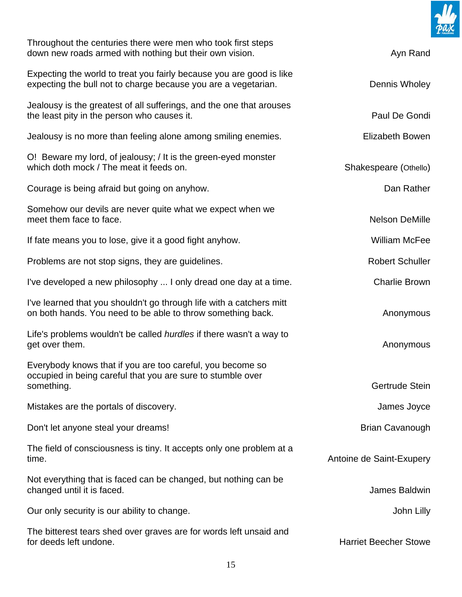![](_page_14_Picture_0.jpeg)

| Throughout the centuries there were men who took first steps<br>down new roads armed with nothing but their own vision.                 | Ayn Rand                     |
|-----------------------------------------------------------------------------------------------------------------------------------------|------------------------------|
| Expecting the world to treat you fairly because you are good is like<br>expecting the bull not to charge because you are a vegetarian.  | Dennis Wholey                |
| Jealousy is the greatest of all sufferings, and the one that arouses<br>the least pity in the person who causes it.                     | Paul De Gondi                |
| Jealousy is no more than feeling alone among smiling enemies.                                                                           | Elizabeth Bowen              |
| O! Beware my lord, of jealousy; / It is the green-eyed monster<br>which doth mock / The meat it feeds on.                               | Shakespeare (Othello)        |
| Courage is being afraid but going on anyhow.                                                                                            | Dan Rather                   |
| Somehow our devils are never quite what we expect when we<br>meet them face to face.                                                    | <b>Nelson DeMille</b>        |
| If fate means you to lose, give it a good fight anyhow.                                                                                 | William McFee                |
| Problems are not stop signs, they are guidelines.                                                                                       | <b>Robert Schuller</b>       |
| I've developed a new philosophy  I only dread one day at a time.                                                                        | <b>Charlie Brown</b>         |
| I've learned that you shouldn't go through life with a catchers mitt<br>on both hands. You need to be able to throw something back.     | Anonymous                    |
| Life's problems wouldn't be called <i>hurdles</i> if there wasn't a way to<br>get over them.                                            | Anonymous                    |
| Everybody knows that if you are too careful, you become so<br>occupied in being careful that you are sure to stumble over<br>something. | Gertrude Stein               |
| Mistakes are the portals of discovery.                                                                                                  | James Joyce                  |
| Don't let anyone steal your dreams!                                                                                                     | <b>Brian Cavanough</b>       |
| The field of consciousness is tiny. It accepts only one problem at a<br>time.                                                           | Antoine de Saint-Exupery     |
| Not everything that is faced can be changed, but nothing can be<br>changed until it is faced.                                           | James Baldwin                |
| Our only security is our ability to change.                                                                                             | John Lilly                   |
| The bitterest tears shed over graves are for words left unsaid and<br>for deeds left undone.                                            | <b>Harriet Beecher Stowe</b> |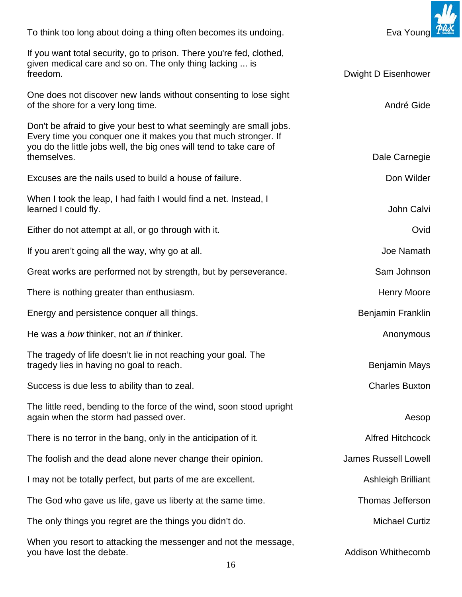| To think too long about doing a thing often becomes its undoing.                                                                                                                                                            | Eva Young <sup>2</sup>      |
|-----------------------------------------------------------------------------------------------------------------------------------------------------------------------------------------------------------------------------|-----------------------------|
| If you want total security, go to prison. There you're fed, clothed,<br>given medical care and so on. The only thing lacking  is<br>freedom.                                                                                | Dwight D Eisenhower         |
| One does not discover new lands without consenting to lose sight<br>of the shore for a very long time.                                                                                                                      | André Gide                  |
| Don't be afraid to give your best to what seemingly are small jobs.<br>Every time you conquer one it makes you that much stronger. If<br>you do the little jobs well, the big ones will tend to take care of<br>themselves. | Dale Carnegie               |
| Excuses are the nails used to build a house of failure.                                                                                                                                                                     | Don Wilder                  |
| When I took the leap, I had faith I would find a net. Instead, I<br>learned I could fly.                                                                                                                                    | John Calvi                  |
| Either do not attempt at all, or go through with it.                                                                                                                                                                        | Ovid                        |
| If you aren't going all the way, why go at all.                                                                                                                                                                             | Joe Namath                  |
| Great works are performed not by strength, but by perseverance.                                                                                                                                                             | Sam Johnson                 |
| There is nothing greater than enthusiasm.                                                                                                                                                                                   | <b>Henry Moore</b>          |
| Energy and persistence conquer all things.                                                                                                                                                                                  | Benjamin Franklin           |
| He was a <i>how</i> thinker, not an <i>if</i> thinker.                                                                                                                                                                      | Anonymous                   |
| The tragedy of life doesn't lie in not reaching your goal. The<br>tragedy lies in having no goal to reach.                                                                                                                  | <b>Benjamin Mays</b>        |
| Success is due less to ability than to zeal.                                                                                                                                                                                | <b>Charles Buxton</b>       |
| The little reed, bending to the force of the wind, soon stood upright<br>again when the storm had passed over.                                                                                                              | Aesop                       |
| There is no terror in the bang, only in the anticipation of it.                                                                                                                                                             | <b>Alfred Hitchcock</b>     |
| The foolish and the dead alone never change their opinion.                                                                                                                                                                  | <b>James Russell Lowell</b> |
| I may not be totally perfect, but parts of me are excellent.                                                                                                                                                                | <b>Ashleigh Brilliant</b>   |
| The God who gave us life, gave us liberty at the same time.                                                                                                                                                                 | <b>Thomas Jefferson</b>     |
| The only things you regret are the things you didn't do.                                                                                                                                                                    | <b>Michael Curtiz</b>       |
| When you resort to attacking the messenger and not the message,<br>you have lost the debate.                                                                                                                                | <b>Addison Whithecomb</b>   |

17,